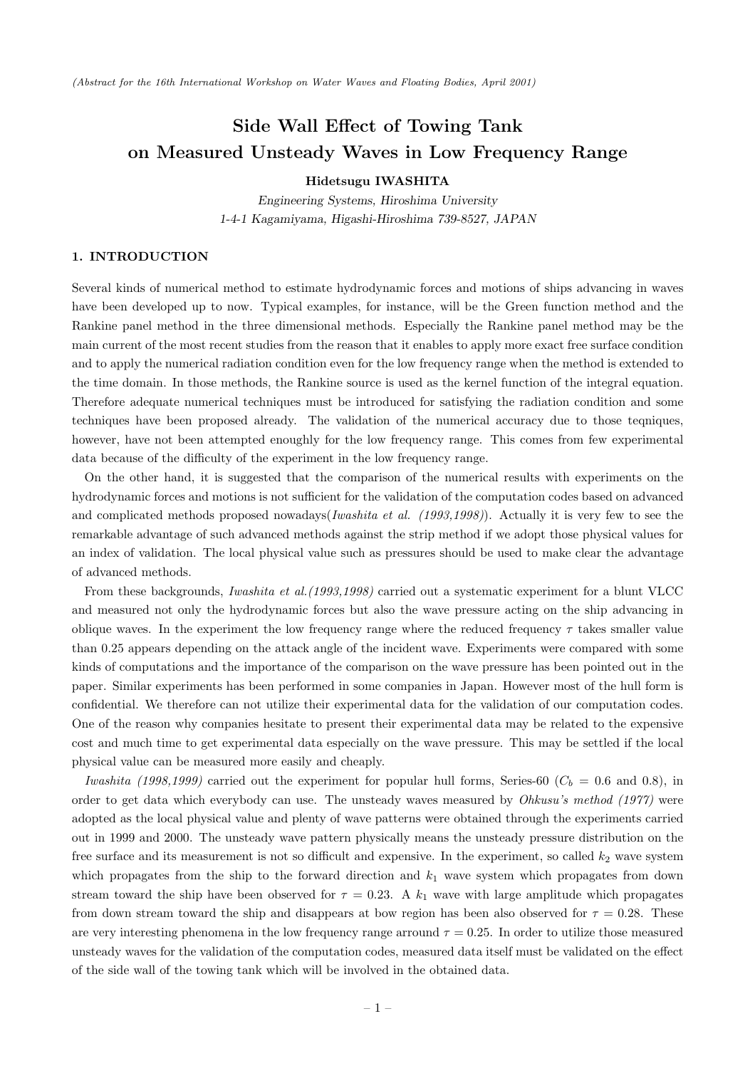*(Abstract for the 16th International Workshop on Water Waves and Floating Bodies, April 2001)*

# **Side Wall Effect of Towing Tank on Measured Unsteady Waves in Low Frequency Range**

#### **Hidetsugu IWASHITA**

*Engineering Systems, Hiroshima University 1-4-1 Kagamiyama, Higashi-Hiroshima 739-8527, JAPAN*

# **1. INTRODUCTION**

Several kinds of numerical method to estimate hydrodynamic forces and motions of ships advancing in waves have been developed up to now. Typical examples, for instance, will be the Green function method and the Rankine panel method in the three dimensional methods. Especially the Rankine panel method may be the main current of the most recent studies from the reason that it enables to apply more exact free surface condition and to apply the numerical radiation condition even for the low frequency range when the method is extended to the time domain. In those methods, the Rankine source is used as the kernel function of the integral equation. Therefore adequate numerical techniques must be introduced for satisfying the radiation condition and some techniques have been proposed already. The validation of the numerical accuracy due to those teqniques, however, have not been attempted enoughly for the low frequency range. This comes from few experimental data because of the difficulty of the experiment in the low frequency range.

On the other hand, it is suggested that the comparison of the numerical results with experiments on the hydrodynamic forces and motions is not sufficient for the validation of the computation codes based on advanced and complicated methods proposed nowadays(*Iwashita et al. (1993,1998)*). Actually it is very few to see the remarkable advantage of such advanced methods against the strip method if we adopt those physical values for an index of validation. The local physical value such as pressures should be used to make clear the advantage of advanced methods.

From these backgrounds, *Iwashita et al.(1993,1998)* carried out a systematic experiment for a blunt VLCC and measured not only the hydrodynamic forces but also the wave pressure acting on the ship advancing in oblique waves. In the experiment the low frequency range where the reduced frequency  $\tau$  takes smaller value than 0.25 appears depending on the attack angle of the incident wave. Experiments were compared with some kinds of computations and the importance of the comparison on the wave pressure has been pointed out in the paper. Similar experiments has been performed in some companies in Japan. However most of the hull form is confidential. We therefore can not utilize their experimental data for the validation of our computation codes. One of the reason why companies hesitate to present their experimental data may be related to the expensive cost and much time to get experimental data especially on the wave pressure. This may be settled if the local physical value can be measured more easily and cheaply.

*Iwashita (1998,1999)* carried out the experiment for popular hull forms, Series-60 ( $C_b = 0.6$  and 0.8), in order to get data which everybody can use. The unsteady waves measured by *Ohkusu's method (1977)* were adopted as the local physical value and plenty of wave patterns were obtained through the experiments carried out in 1999 and 2000. The unsteady wave pattern physically means the unsteady pressure distribution on the free surface and its measurement is not so difficult and expensive. In the experiment, so called  $k_2$  wave system which propagates from the ship to the forward direction and  $k_1$  wave system which propagates from down stream toward the ship have been observed for  $\tau = 0.23$ . A  $k_1$  wave with large amplitude which propagates from down stream toward the ship and disappears at bow region has been also observed for  $\tau = 0.28$ . These are very interesting phenomena in the low frequency range arround  $\tau = 0.25$ . In order to utilize those measured unsteady waves for the validation of the computation codes, measured data itself must be validated on the effect of the side wall of the towing tank which will be involved in the obtained data.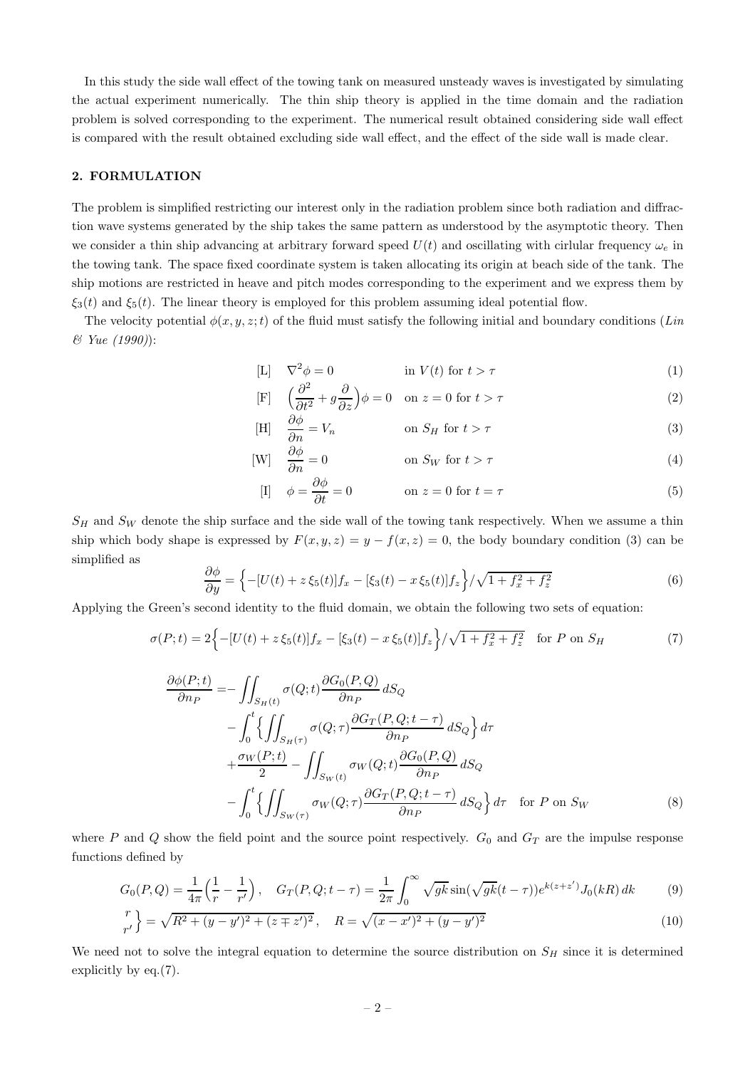In this study the side wall effect of the towing tank on measured unsteady waves is investigated by simulating the actual experiment numerically. The thin ship theory is applied in the time domain and the radiation problem is solved corresponding to the experiment. The numerical result obtained considering side wall effect is compared with the result obtained excluding side wall effect, and the effect of the side wall is made clear.

# **2. FORMULATION**

The problem is simplified restricting our interest only in the radiation problem since both radiation and diffraction wave systems generated by the ship takes the same pattern as understood by the asymptotic theory. Then we consider a thin ship advancing at arbitrary forward speed  $U(t)$  and oscillating with cirlular frequency  $\omega_e$  in the towing tank. The space fixed coordinate system is taken allocating its origin at beach side of the tank. The ship motions are restricted in heave and pitch modes corresponding to the experiment and we express them by  $\xi_3(t)$  and  $\xi_5(t)$ . The linear theory is employed for this problem assuming ideal potential flow.

The velocity potential  $\phi(x, y, z; t)$  of the fluid must satisfy the following initial and boundary conditions (*Lin & Yue (1990)*):

$$
\begin{array}{ll}\n\text{[L]} & \nabla^2 \phi = 0 \\
\text{in } V(t) \text{ for } t > \tau\n\end{array}\n\tag{1}
$$

$$
\begin{aligned} \text{[F]} \quad & \left(\frac{\partial^2}{\partial t^2} + g\frac{\partial}{\partial z}\right)\phi = 0 \quad \text{on } z = 0 \text{ for } t > \tau \end{aligned} \tag{2}
$$

$$
\text{[H]} \quad \frac{\partial \phi}{\partial n} = V_n \qquad \qquad \text{on } S_H \text{ for } t > \tau \tag{3}
$$

$$
\begin{array}{ll}\n\text{[W]} & \frac{\partial \phi}{\partial n} = 0 & \text{on } S_W \text{ for } t > \tau\n\end{array}\n\tag{4}
$$

$$
\begin{array}{ll}\n\text{[I]} & \phi = \frac{\partial \phi}{\partial t} = 0 & \text{on } z = 0 \text{ for } t = \tau\n\end{array}\n\tag{5}
$$

 $S_H$  and  $S_W$  denote the ship surface and the side wall of the towing tank respectively. When we assume a thin ship which body shape is expressed by  $F(x, y, z) = y - f(x, z) = 0$ , the body boundary condition (3) can be simplified as

$$
\frac{\partial \phi}{\partial y} = \left\{-[U(t) + z\,\xi_5(t)]f_x - [\xi_3(t) - x\,\xi_5(t)]f_z\right\}/\sqrt{1 + f_x^2 + f_z^2} \tag{6}
$$

Applying the Green's second identity to the fluid domain, we obtain the following two sets of equation:

$$
\sigma(P;t) = 2\Big\{-[U(t) + z\,\xi_5(t)]f_x - [\xi_3(t) - x\,\xi_5(t)]f_z\Big\}/\sqrt{1 + f_x^2 + f_z^2} \quad \text{for } P \text{ on } S_H
$$
\n<sup>(7)</sup>

$$
\frac{\partial \phi(P;t)}{\partial n_P} = -\iint_{S_H(t)} \sigma(Q;t) \frac{\partial G_0(P,Q)}{\partial n_P} dS_Q
$$
  
\n
$$
- \int_0^t \left\{ \iint_{S_H(\tau)} \sigma(Q;\tau) \frac{\partial G_T(P,Q;t-\tau)}{\partial n_P} dS_Q \right\} d\tau
$$
  
\n
$$
+ \frac{\sigma_W(P;t)}{2} - \iint_{S_W(t)} \sigma_W(Q;t) \frac{\partial G_0(P,Q)}{\partial n_P} dS_Q
$$
  
\n
$$
- \int_0^t \left\{ \iint_{S_W(\tau)} \sigma_W(Q;\tau) \frac{\partial G_T(P,Q;t-\tau)}{\partial n_P} dS_Q \right\} d\tau \quad \text{for } P \text{ on } S_W
$$
\n(8)

where P and Q show the field point and the source point respectively.  $G_0$  and  $G_T$  are the impulse response functions defined by

$$
G_0(P,Q) = \frac{1}{4\pi} \left(\frac{1}{r} - \frac{1}{r'}\right), \quad G_T(P,Q;t-\tau) = \frac{1}{2\pi} \int_0^\infty \sqrt{gk} \sin(\sqrt{gk}(t-\tau)) e^{k(z+z')} J_0(kR) \, dk \tag{9}
$$

$$
\binom{r}{r'} = \sqrt{R^2 + (y - y')^2 + (z + z')^2}, \quad R = \sqrt{(x - x')^2 + (y - y')^2}
$$
\n(10)

We need not to solve the integral equation to determine the source distribution on  $S_H$  since it is determined explicitly by eq.(7).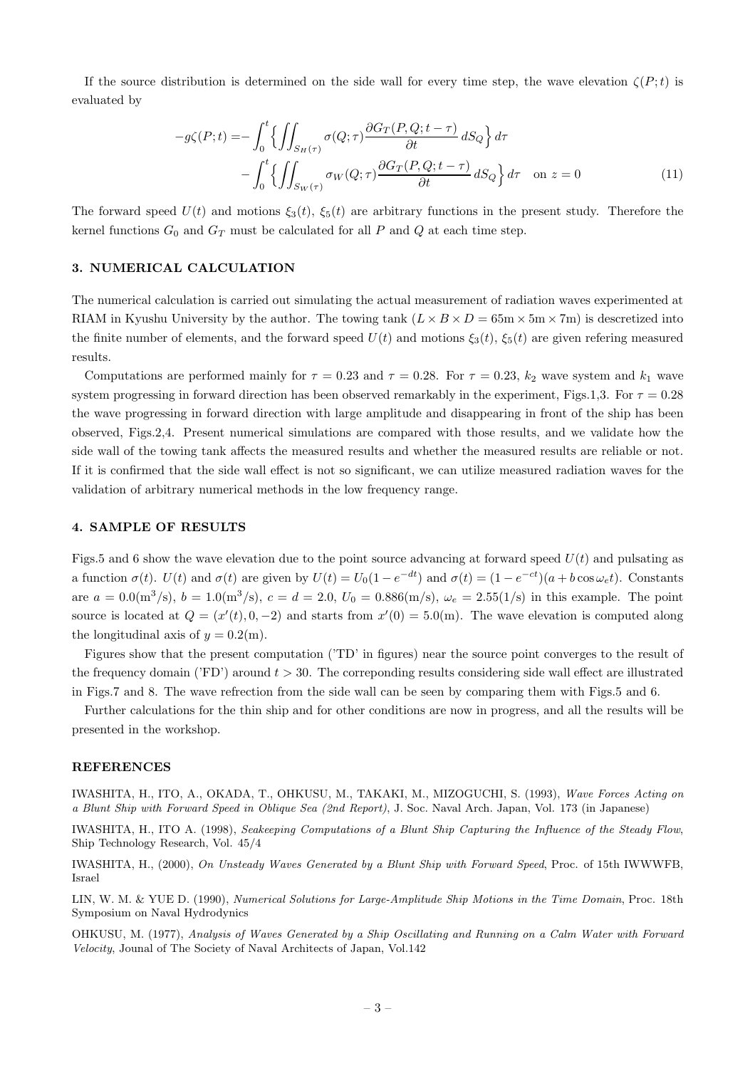If the source distribution is determined on the side wall for every time step, the wave elevation  $\zeta(P;t)$  is evaluated by

$$
-g\zeta(P;t) = -\int_0^t \left\{ \iint_{S_H(\tau)} \sigma(Q;\tau) \frac{\partial G_T(P,Q;t-\tau)}{\partial t} dS_Q \right\} d\tau - \int_0^t \left\{ \iint_{S_W(\tau)} \sigma_W(Q;\tau) \frac{\partial G_T(P,Q;t-\tau)}{\partial t} dS_Q \right\} d\tau \quad \text{on } z=0
$$
 (11)

The forward speed  $U(t)$  and motions  $\xi_3(t)$ ,  $\xi_5(t)$  are arbitrary functions in the present study. Therefore the kernel functions  $G_0$  and  $G_T$  must be calculated for all P and Q at each time step.

### **3. NUMERICAL CALCULATION**

The numerical calculation is carried out simulating the actual measurement of radiation waves experimented at RIAM in Kyushu University by the author. The towing tank  $(L \times B \times D = 65 \text{m} \times 5 \text{m} \times 7 \text{m})$  is descretized into the finite number of elements, and the forward speed  $U(t)$  and motions  $\xi_3(t)$ ,  $\xi_5(t)$  are given refering measured results.

Computations are performed mainly for  $\tau = 0.23$  and  $\tau = 0.28$ . For  $\tau = 0.23$ ,  $k_2$  wave system and  $k_1$  wave system progressing in forward direction has been observed remarkably in the experiment, Figs.1,3. For  $\tau = 0.28$ the wave progressing in forward direction with large amplitude and disappearing in front of the ship has been observed, Figs.2,4. Present numerical simulations are compared with those results, and we validate how the side wall of the towing tank affects the measured results and whether the measured results are reliable or not. If it is confirmed that the side wall effect is not so significant, we can utilize measured radiation waves for the validation of arbitrary numerical methods in the low frequency range.

## **4. SAMPLE OF RESULTS**

Figs.5 and 6 show the wave elevation due to the point source advancing at forward speed  $U(t)$  and pulsating as a function  $\sigma(t)$ .  $U(t)$  and  $\sigma(t)$  are given by  $U(t) = U_0(1 - e^{-dt})$  and  $\sigma(t) = (1 - e^{-ct})(a + b \cos \omega_e t)$ . Constants are  $a = 0.0 \text{(m}^3/\text{s})$ ,  $b = 1.0 \text{(m}^3/\text{s})$ ,  $c = d = 2.0$ ,  $U_0 = 0.886 \text{(m/s)}$ ,  $\omega_e = 2.55(1/\text{s})$  in this example. The point source is located at  $Q = (x'(t), 0, -2)$  and starts from  $x'(0) = 5.0$ (m). The wave elevation is computed along the longitudinal axis of  $y = 0.2(m)$ .

Figures show that the present computation ('TD' in figures) near the source point converges to the result of the frequency domain ('FD') around  $t > 30$ . The corresponding results considering side wall effect are illustrated in Figs.7 and 8. The wave refrection from the side wall can be seen by comparing them with Figs.5 and 6.

Further calculations for the thin ship and for other conditions are now in progress, and all the results will be presented in the workshop.

#### **REFERENCES**

IWASHITA, H., ITO, A., OKADA, T., OHKUSU, M., TAKAKI, M., MIZOGUCHI, S. (1993), *Wave Forces Acting on a Blunt Ship with Forward Speed in Oblique Sea (2nd Report)*, J. Soc. Naval Arch. Japan, Vol. 173 (in Japanese)

IWASHITA, H., ITO A. (1998), *Seakeeping Computations of a Blunt Ship Capturing the Influence of the Steady Flow*, Ship Technology Research, Vol. 45/4

IWASHITA, H., (2000), *On Unsteady Waves Generated by a Blunt Ship with Forward Speed*, Proc. of 15th IWWWFB, Israel

LIN, W. M. & YUE D. (1990), *Numerical Solutions for Large-Amplitude Ship Motions in the Time Domain*, Proc. 18th Symposium on Naval Hydrodynics

OHKUSU, M. (1977), *Analysis of Waves Generated by a Ship Oscillating and Running on a Calm Water with Forward Velocity*, Jounal of The Society of Naval Architects of Japan, Vol.142